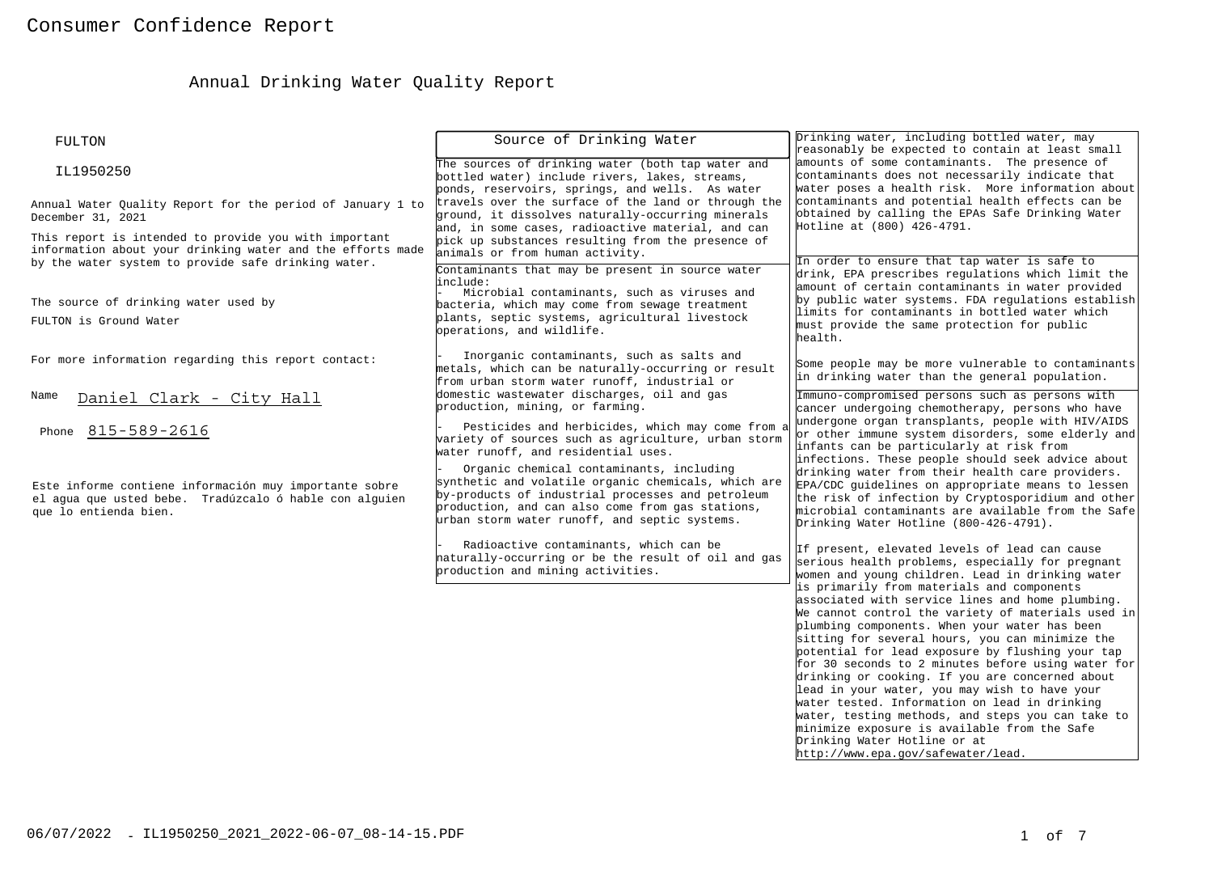# Annual Drinking Water Quality Report

| FULTON                                                                                                                                                                     | Source of Drinking Water                                                                                                                                                                                                                                                                                                                                                                                    | Drinking water, including bottled water, may<br>reasonably be expected to contain at least small                                                                                                                                                                                                                                                                                                                                                                                                                                                                                                                                                                                                                                                                                                                                                            |
|----------------------------------------------------------------------------------------------------------------------------------------------------------------------------|-------------------------------------------------------------------------------------------------------------------------------------------------------------------------------------------------------------------------------------------------------------------------------------------------------------------------------------------------------------------------------------------------------------|-------------------------------------------------------------------------------------------------------------------------------------------------------------------------------------------------------------------------------------------------------------------------------------------------------------------------------------------------------------------------------------------------------------------------------------------------------------------------------------------------------------------------------------------------------------------------------------------------------------------------------------------------------------------------------------------------------------------------------------------------------------------------------------------------------------------------------------------------------------|
| IL1950250                                                                                                                                                                  | The sources of drinking water (both tap water and<br>bottled water) include rivers, lakes, streams,<br>ponds, reservoirs, springs, and wells. As water                                                                                                                                                                                                                                                      | amounts of some contaminants. The presence of<br>contaminants does not necessarily indicate that<br>water poses a health risk. More information about                                                                                                                                                                                                                                                                                                                                                                                                                                                                                                                                                                                                                                                                                                       |
| Annual Water Ouality Report for the period of January 1 to<br>December 31, 2021                                                                                            | travels over the surface of the land or through the<br>ground, it dissolves naturally-occurring minerals<br>and, in some cases, radioactive material, and can                                                                                                                                                                                                                                               | contaminants and potential health effects can be<br>obtained by calling the EPAs Safe Drinking Water<br>Hotline at (800) 426-4791.                                                                                                                                                                                                                                                                                                                                                                                                                                                                                                                                                                                                                                                                                                                          |
| This report is intended to provide you with important<br>information about your drinking water and the efforts made<br>by the water system to provide safe drinking water. | pick up substances resulting from the presence of<br>animals or from human activity.<br>Contaminants that may be present in source water                                                                                                                                                                                                                                                                    | In order to ensure that tap water is safe to                                                                                                                                                                                                                                                                                                                                                                                                                                                                                                                                                                                                                                                                                                                                                                                                                |
| The source of drinking water used by<br>FULTON is Ground Water                                                                                                             | linclude:<br>Microbial contaminants, such as viruses and<br>bacteria, which may come from sewage treatment<br>plants, septic systems, agricultural livestock<br>operations, and wildlife.                                                                                                                                                                                                                   | drink, EPA prescribes regulations which limit the<br>amount of certain contaminants in water provided<br>by public water systems. FDA regulations establish<br>limits for contaminants in bottled water which<br>must provide the same protection for public<br>health.                                                                                                                                                                                                                                                                                                                                                                                                                                                                                                                                                                                     |
| For more information regarding this report contact:                                                                                                                        | Inorganic contaminants, such as salts and<br>metals, which can be naturally-occurring or result<br>from urban storm water runoff, industrial or                                                                                                                                                                                                                                                             | Some people may be more vulnerable to contaminants<br>in drinking water than the general population.                                                                                                                                                                                                                                                                                                                                                                                                                                                                                                                                                                                                                                                                                                                                                        |
| Name<br>Daniel Clark - City Hall                                                                                                                                           | domestic wastewater discharges, oil and gas<br>production, mining, or farming.                                                                                                                                                                                                                                                                                                                              | Immuno-compromised persons such as persons with<br>cancer undergoing chemotherapy, persons who have<br>undergone organ transplants, people with HIV/AIDS                                                                                                                                                                                                                                                                                                                                                                                                                                                                                                                                                                                                                                                                                                    |
| Phone 815-589-2616<br>Este informe contiene información muy importante sobre<br>el aqua que usted bebe. Tradúzcalo ó hable con alquien<br>que lo entienda bien.            | Pesticides and herbicides, which may come from a<br>variety of sources such as agriculture, urban storm<br>water runoff, and residential uses.<br>Organic chemical contaminants, including<br>synthetic and volatile organic chemicals, which are<br>by-products of industrial processes and petroleum<br>production, and can also come from gas stations,<br>urban storm water runoff, and septic systems. | or other immune system disorders, some elderly and<br>infants can be particularly at risk from<br>infections. These people should seek advice about<br>drinking water from their health care providers.<br>EPA/CDC guidelines on appropriate means to lessen<br>the risk of infection by Cryptosporidium and other<br>microbial contaminants are available from the Safe<br>Drinking Water Hotline (800-426-4791).                                                                                                                                                                                                                                                                                                                                                                                                                                          |
|                                                                                                                                                                            | Radioactive contaminants, which can be<br>haturally-occurring or be the result of oil and gas<br>production and mining activities.                                                                                                                                                                                                                                                                          | If present, elevated levels of lead can cause<br>serious health problems, especially for pregnant<br>women and young children. Lead in drinking water<br>is primarily from materials and components<br>associated with service lines and home plumbing.<br>We cannot control the variety of materials used in<br>plumbing components. When your water has been<br>sitting for several hours, you can minimize the<br>potential for lead exposure by flushing your tap<br>for 30 seconds to 2 minutes before using water for<br>drinking or cooking. If you are concerned about<br>lead in your water, you may wish to have your<br>water tested. Information on lead in drinking<br>water, testing methods, and steps you can take to<br>minimize exposure is available from the Safe<br>Drinking Water Hotline or at<br>http://www.epa.gov/safewater/lead. |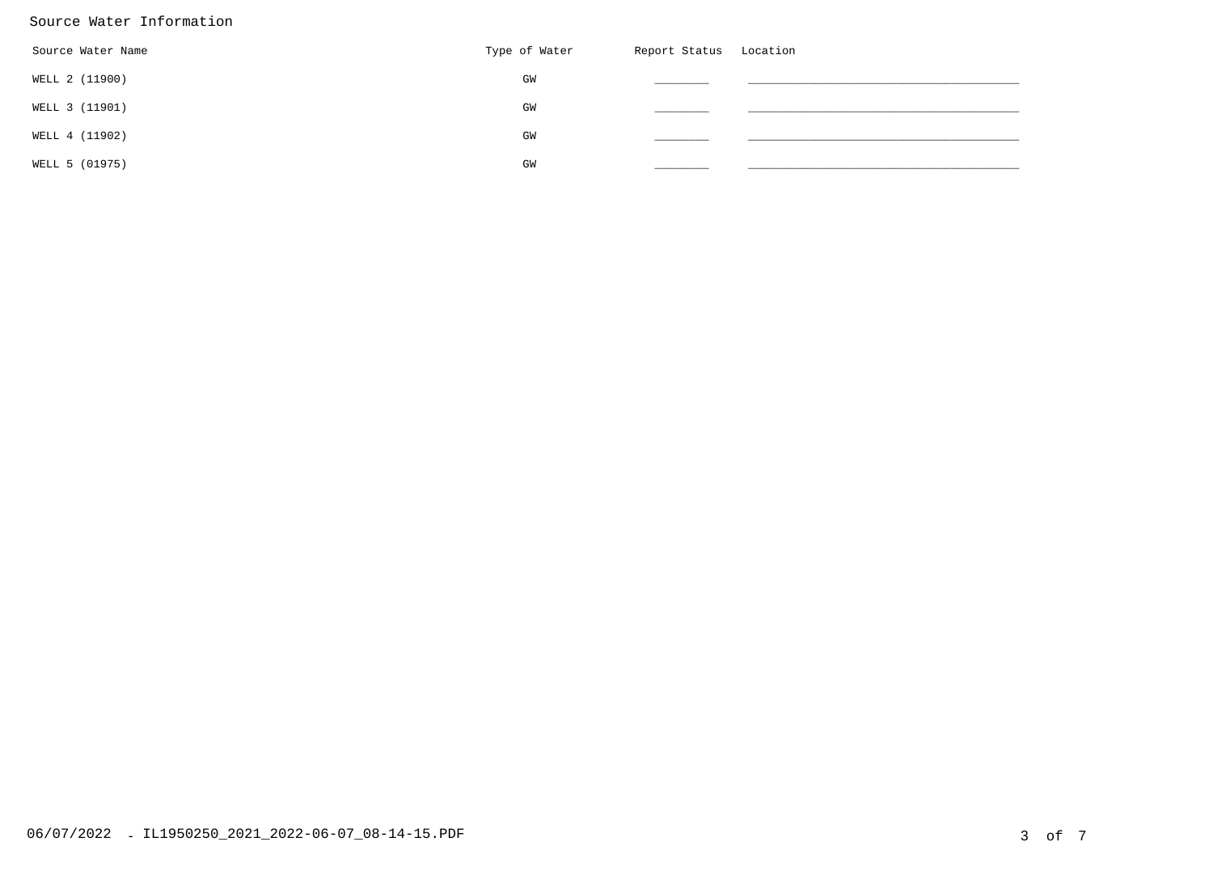#### Source Water Information

| Source Water Name | Type of Water | Report Status Location |  |
|-------------------|---------------|------------------------|--|
| WELL 2 (11900)    | GW            |                        |  |
| WELL 3 (11901)    | GW            |                        |  |
| WELL 4 (11902)    | GW            |                        |  |
| WELL 5 (01975)    | GW            |                        |  |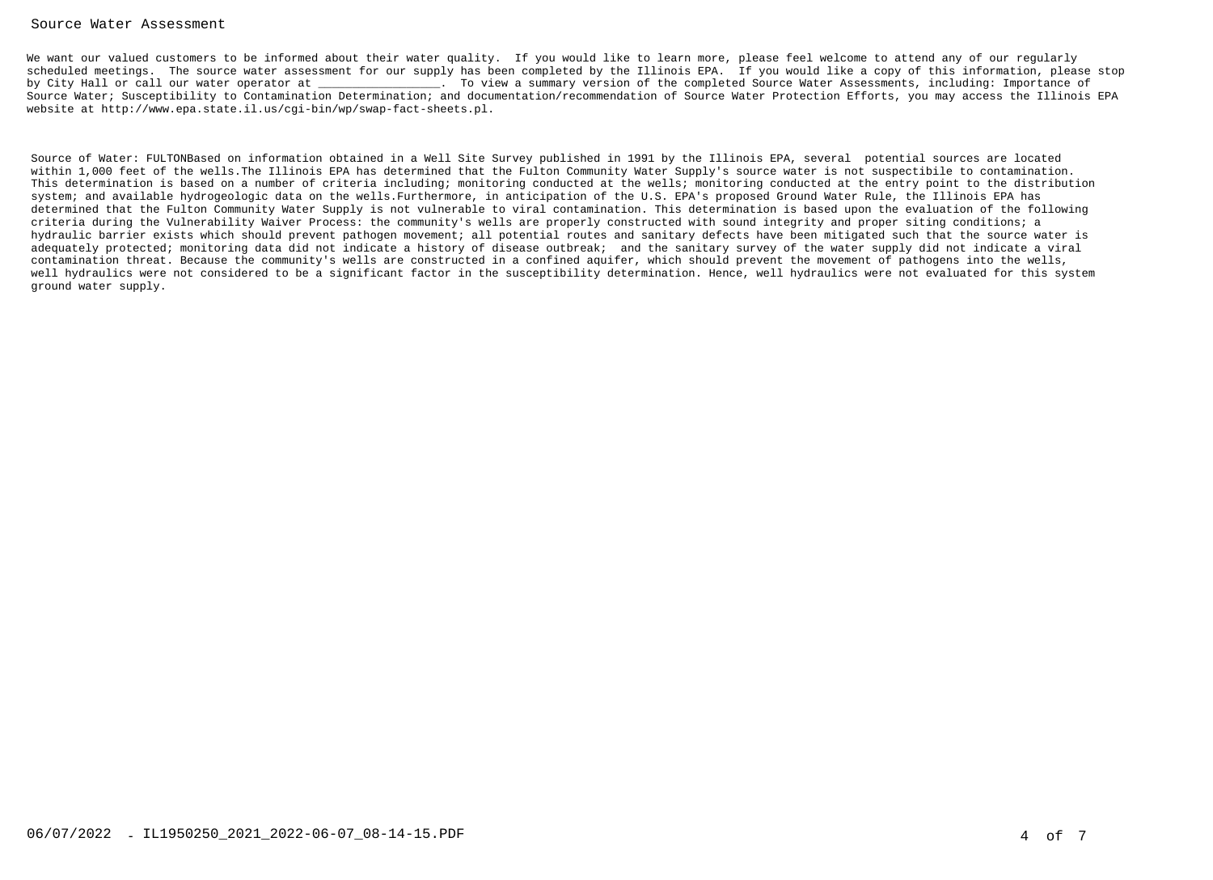#### Source Water Assessment

We want our valued customers to be informed about their water quality. If you would like to learn more, please feel welcome to attend any of our regularly scheduled meetings. The source water assessment for our supply has been completed by the Illinois EPA. If you would like a copy of this information, please stopby City Hall or call our water operator at  $\qquad \qquad$  . To view a summary version of the completed Source Water Assessments, including: Importance of Source Water; Susceptibility to Contamination Determination; and documentation/recommendation of Source Water Protection Efforts, you may access the Illinois EPAwebsite at http://www.epa.state.il.us/cgi-bin/wp/swap-fact-sheets.pl.

Source of Water: FULTONBased on information obtained in a Well Site Survey published in 1991 by the Illinois EPA, several potential sources are located within 1,000 feet of the wells.The Illinois EPA has determined that the Fulton Community Water Supply's source water is not suspectibile to contamination. This determination is based on a number of criteria including; monitoring conducted at the wells; monitoring conducted at the entry point to the distributionsystem; and available hydrogeologic data on the wells.Furthermore, in anticipation of the U.S. EPA's proposed Ground Water Rule, the Illinois EPA has determined that the Fulton Community Water Supply is not vulnerable to viral contamination. This determination is based upon the evaluation of the followingcriteria during the Vulnerability Waiver Process: the community's wells are properly constructed with sound integrity and proper siting conditions; a hydraulic barrier exists which should prevent pathogen movement; all potential routes and sanitary defects have been mitigated such that the source water is adequately protected; monitoring data did not indicate a history of disease outbreak; and the sanitary survey of the water supply did not indicate a viralcontamination threat. Because the community's wells are constructed in a confined aquifer, which should prevent the movement of pathogens into the wells, well hydraulics were not considered to be a significant factor in the susceptibility determination. Hence, well hydraulics were not evaluated for this systemground water supply.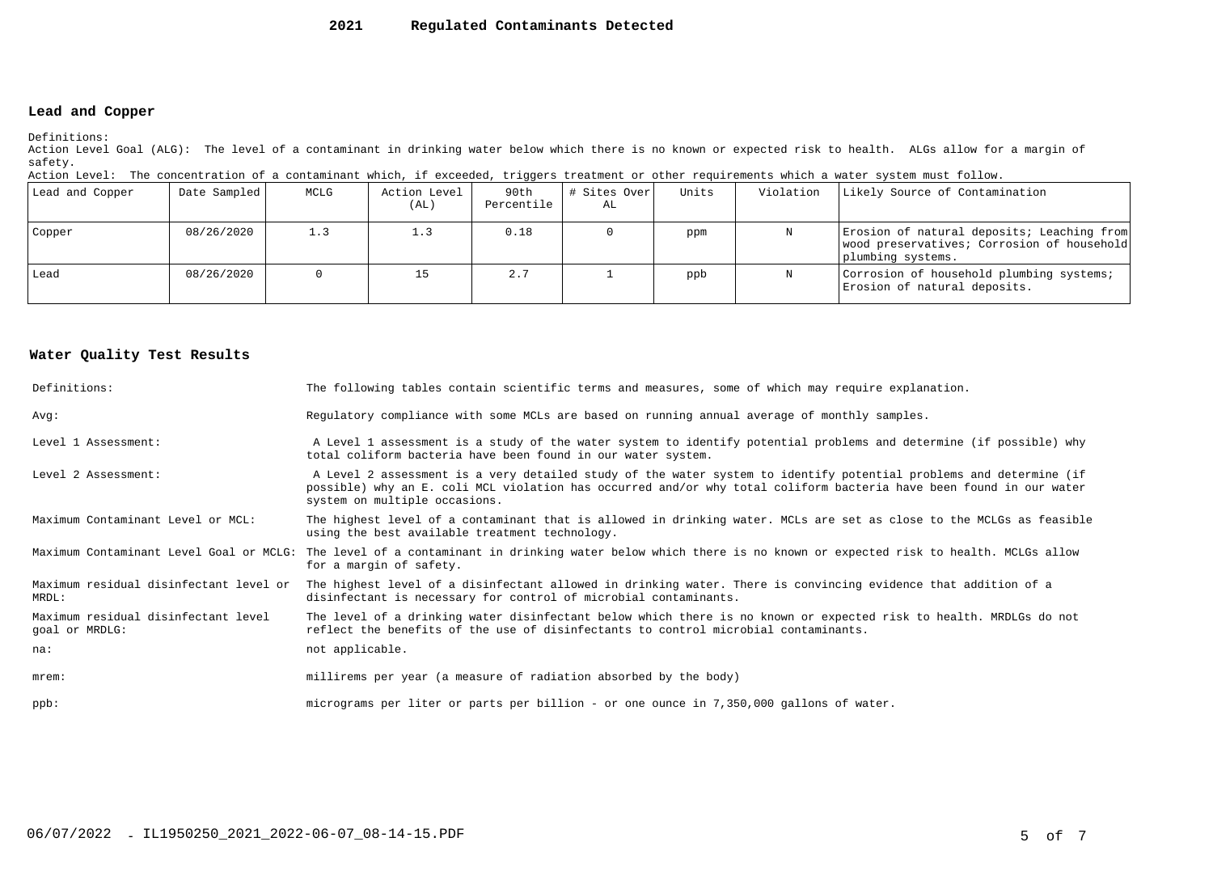#### **2021Regulated Contaminants Detected**

### **Lead and Copper**

Definitions:

 Action Level Goal (ALG): The level of a contaminant in drinking water below which there is no known or expected risk to health. ALGs allow for a margin ofsafety.

| Action Level: The concentration of a contaminant which, if exceeded, triggers treatment or other requirements which a water system must follow. |  |  |  |
|-------------------------------------------------------------------------------------------------------------------------------------------------|--|--|--|
|                                                                                                                                                 |  |  |  |

| Lead and Copper | Date Sampled | MCLG | Action Level<br>(AL) | 90th<br>Percentile | # Sites Over <br>AL | Units | Violation | Likely Source of Contamination                                                                                |
|-----------------|--------------|------|----------------------|--------------------|---------------------|-------|-----------|---------------------------------------------------------------------------------------------------------------|
| Copper          | 08/26/2020   | 1.3  |                      | 0.18               |                     | ppm   |           | Erosion of natural deposits; Leaching from<br>wood preservatives; Corrosion of household<br>plumbing systems. |
| Lead            | 08/26/2020   |      |                      | 2.7                |                     | ppb   |           | Corrosion of household plumbing systems;<br>Erosion of natural deposits.                                      |

#### **Water Quality Test Results**

| Definitions:                                          | The following tables contain scientific terms and measures, some of which may require explanation.                                                                                                                                                                         |
|-------------------------------------------------------|----------------------------------------------------------------------------------------------------------------------------------------------------------------------------------------------------------------------------------------------------------------------------|
| Avq:                                                  | Requlatory compliance with some MCLs are based on running annual average of monthly samples.                                                                                                                                                                               |
| Level 1 Assessment:                                   | A Level 1 assessment is a study of the water system to identify potential problems and determine (if possible) why<br>total coliform bacteria have been found in our water system.                                                                                         |
| Level 2 Assessment:                                   | A Level 2 assessment is a very detailed study of the water system to identify potential problems and determine (if<br>possible) why an E. coli MCL violation has occurred and/or why total coliform bacteria have been found in our water<br>system on multiple occasions. |
| Maximum Contaminant Level or MCL:                     | The highest level of a contaminant that is allowed in drinking water. MCLs are set as close to the MCLGs as feasible<br>using the best available treatment technology.                                                                                                     |
| Maximum Contaminant Level Goal or MCLG:               | The level of a contaminant in drinking water below which there is no known or expected risk to health. MCLGs allow<br>for a margin of safety.                                                                                                                              |
| Maximum residual disinfectant level or<br>MRDL:       | The highest level of a disinfectant allowed in drinking water. There is convincing evidence that addition of a<br>disinfectant is necessary for control of microbial contaminants.                                                                                         |
| Maximum residual disinfectant level<br>goal or MRDLG: | The level of a drinking water disinfectant below which there is no known or expected risk to health. MRDLGs do not<br>reflect the benefits of the use of disinfectants to control microbial contaminants.                                                                  |
| na:                                                   | not applicable.                                                                                                                                                                                                                                                            |
| $m$ rem:                                              | millirems per year (a measure of radiation absorbed by the body)                                                                                                                                                                                                           |
| $ppb$ :                                               | micrograms per liter or parts per billion - or one ounce in 7,350,000 gallons of water.                                                                                                                                                                                    |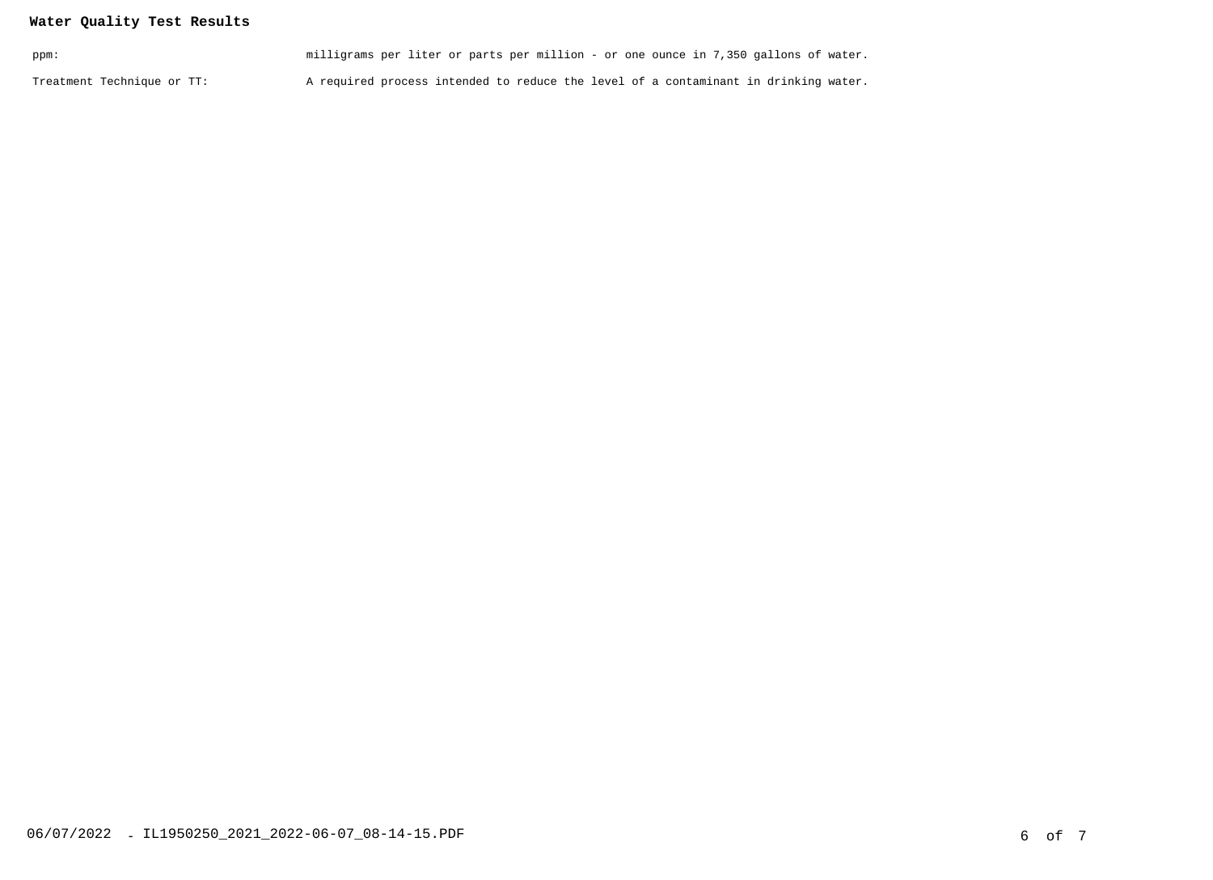## **Water Quality Test Results**

| ppm:                       | milligrams per liter or parts per million - or one ounce in 7,350 gallons of water. |  |
|----------------------------|-------------------------------------------------------------------------------------|--|
| Treatment Technique or TT: | A required process intended to reduce the level of a contaminant in drinking water. |  |